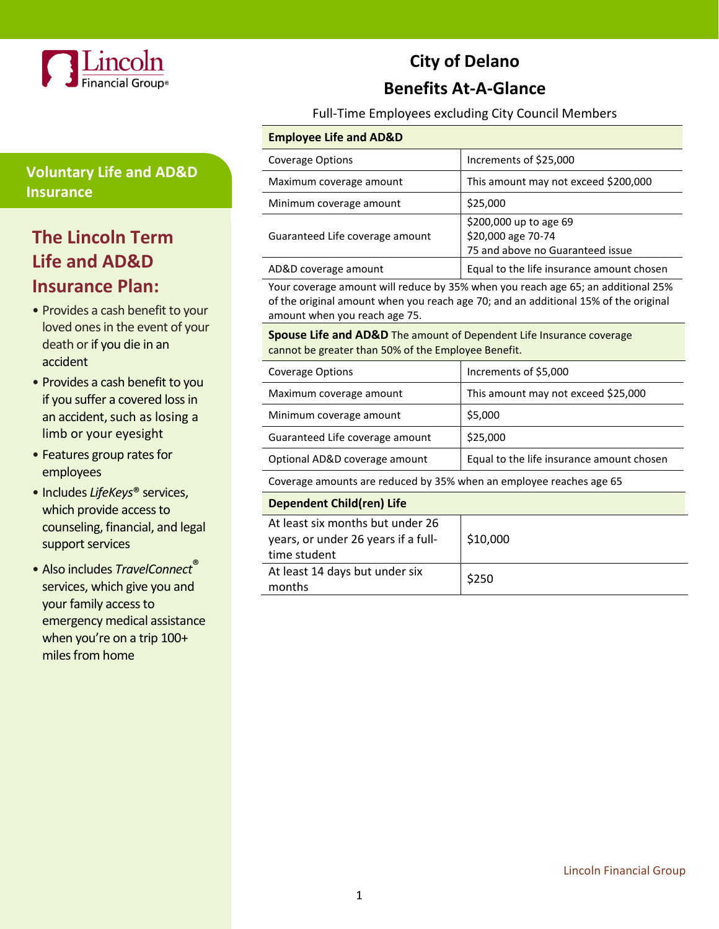

## **Voluntary Life and AD&D Insurance**

# **The Lincoln Term Life and AD&D Insurance Plan:**

- Provides a cash benefit to your loved ones in the event of your death or if you die in an accident
- Provides a cash benefit to you if you suffer a covered loss in an accident, such as losing a limb or your eyesight
- Features group rates for employees
- Includes *LifeKeys*® services, which provide access to counseling, financial, and legal support services
- Also includes *TravelConnect*® services, which give you and your family access to emergency medical assistance when you're on a trip 100+ miles from home

# **City of Delano Benefits At-A-Glance**

Full-Time Employees excluding City Council Members

### **Employee Life and AD&D**

| <b>Coverage Options</b>         | Increments of \$25,000                                                           |
|---------------------------------|----------------------------------------------------------------------------------|
| Maximum coverage amount         | This amount may not exceed \$200,000                                             |
| Minimum coverage amount         | \$25,000                                                                         |
| Guaranteed Life coverage amount | \$200,000 up to age 69<br>\$20,000 age 70-74<br>75 and above no Guaranteed issue |
| AD&D coverage amount            | Equal to the life insurance amount chosen                                        |

Your coverage amount will reduce by 35% when you reach age 65; an additional 25% of the original amount when you reach age 70; and an additional 15% of the original amount when you reach age 75.

**Spouse Life and AD&D** The amount of Dependent Life Insurance coverage cannot be greater than 50% of the Employee Benefit.

| <b>Coverage Options</b>                                                                 | Increments of \$5,000                     |  |  |  |
|-----------------------------------------------------------------------------------------|-------------------------------------------|--|--|--|
| Maximum coverage amount                                                                 | This amount may not exceed \$25,000       |  |  |  |
| Minimum coverage amount                                                                 | \$5,000                                   |  |  |  |
| Guaranteed Life coverage amount                                                         | \$25,000                                  |  |  |  |
| Optional AD&D coverage amount                                                           | Equal to the life insurance amount chosen |  |  |  |
| Coverage amounts are reduced by 35% when an employee reaches age 65                     |                                           |  |  |  |
| <b>Dependent Child(ren) Life</b>                                                        |                                           |  |  |  |
| At least six months but under 26<br>years, or under 26 years if a full-<br>time student | \$10,000                                  |  |  |  |
| At least 14 days but under six<br>months                                                | \$250                                     |  |  |  |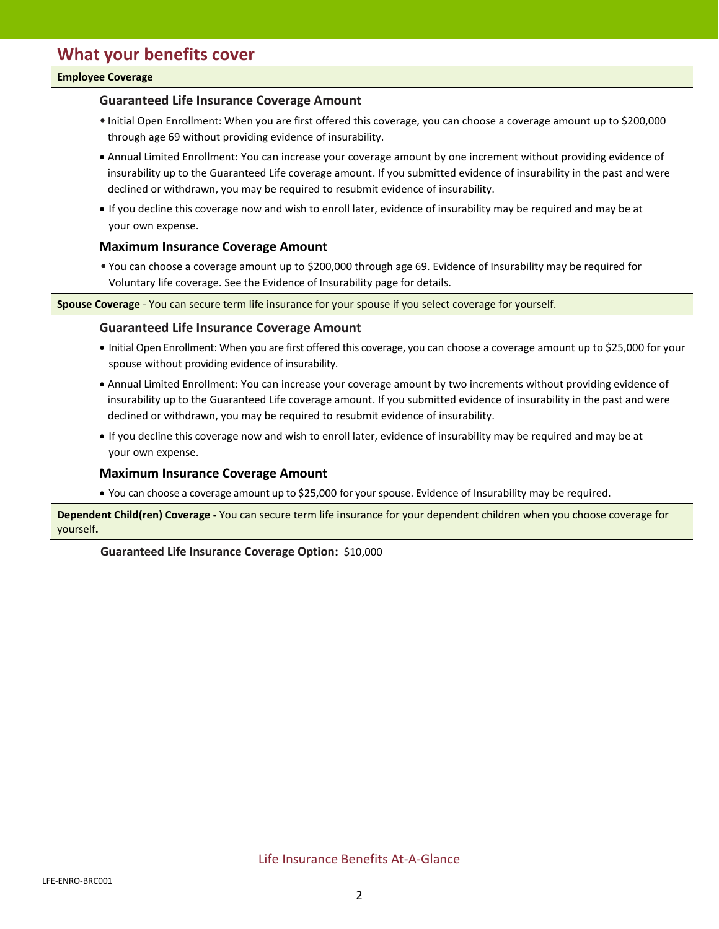#### **Employee Coverage**

### **Guaranteed Life Insurance Coverage Amount**

- Initial Open Enrollment: When you are first offered this coverage, you can choose a coverage amount up to \$200,000 through age 69 without providing evidence of insurability.
- Annual Limited Enrollment: You can increase your coverage amount by one increment without providing evidence of insurability up to the Guaranteed Life coverage amount. If you submitted evidence of insurability in the past and were declined or withdrawn, you may be required to resubmit evidence of insurability.
- If you decline this coverage now and wish to enroll later, evidence of insurability may be required and may be at your own expense.

#### **Maximum Insurance Coverage Amount**

• You can choose a coverage amount up to \$200,000 through age 69. Evidence of Insurability may be required for Voluntary life coverage. See the Evidence of Insurability page for details.

**Spouse Coverage** - You can secure term life insurance for your spouse if you select coverage for yourself.

#### **Guaranteed Life Insurance Coverage Amount**

- Initial Open Enrollment: When you are first offered this coverage, you can choose a coverage amount up to \$25,000 for your spouse without providing evidence of insurability.
- Annual Limited Enrollment: You can increase your coverage amount by two increments without providing evidence of insurability up to the Guaranteed Life coverage amount. If you submitted evidence of insurability in the past and were declined or withdrawn, you may be required to resubmit evidence of insurability.
- If you decline this coverage now and wish to enroll later, evidence of insurability may be required and may be at your own expense.

### **Maximum Insurance Coverage Amount**

• You can choose a coverage amount up to \$25,000 for your spouse. Evidence of Insurability may be required.

**Dependent Child(ren) Coverage -** You can secure term life insurance for your dependent children when you choose coverage for yourself**.**

**Guaranteed Life Insurance Coverage Option:** \$10,000

Life Insurance Benefits At-A-Glance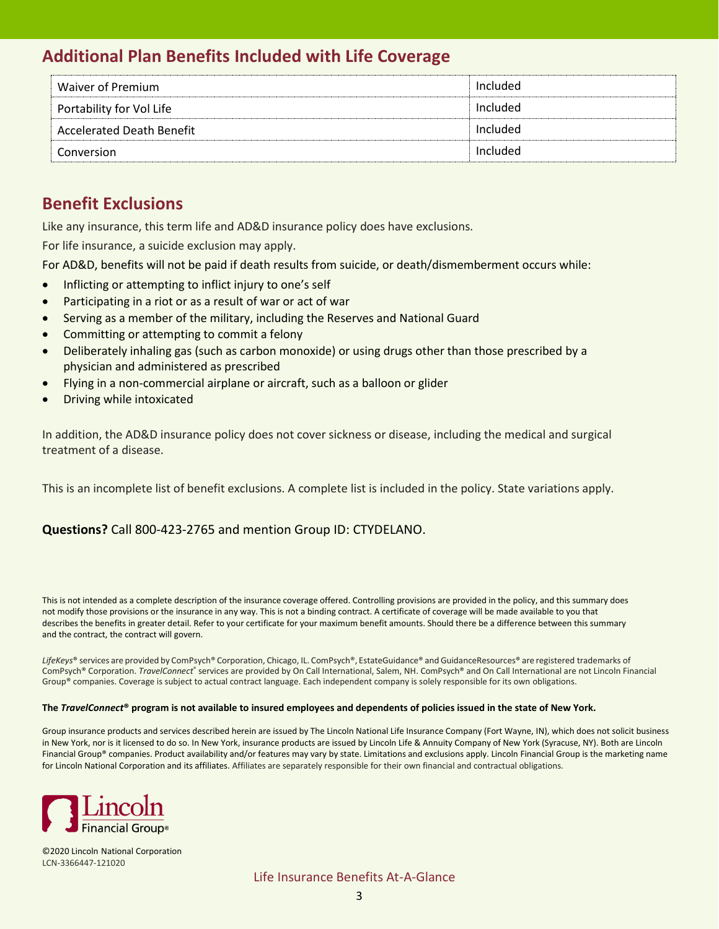## **Additional Plan Benefits Included with Life Coverage**

| Waiver of Premium         | Included |
|---------------------------|----------|
| Portability for Vol Life  | Included |
| Accelerated Death Benefit | Included |
| Conversion                | Included |

## **Benefit Exclusions**

Like any insurance, this term life and AD&D insurance policy does have exclusions.

For life insurance, a suicide exclusion may apply.

For AD&D, benefits will not be paid if death results from suicide, or death/dismemberment occurs while:

- Inflicting or attempting to inflict injury to one's self
- Participating in a riot or as a result of war or act of war
- Serving as a member of the military, including the Reserves and National Guard
- Committing or attempting to commit a felony
- Deliberately inhaling gas (such as carbon monoxide) or using drugs other than those prescribed by a physician and administered as prescribed
- Flying in a non-commercial airplane or aircraft, such as a balloon or glider
- Driving while intoxicated

In addition, the AD&D insurance policy does not cover sickness or disease, including the medical and surgical treatment of a disease.

This is an incomplete list of benefit exclusions. A complete list is included in the policy. State variations apply.

### **Questions?** Call 800-423-2765 and mention Group ID: CTYDELANO.

This is not intended as a complete description of the insurance coverage offered. Controlling provisions are provided in the policy, and this summary does not modify those provisions or the insurance in any way. This is not a binding contract. A certificate of coverage will be made available to you that describes the benefits in greater detail. Refer to your certificate for your maximum benefit amounts. Should there be a difference between this summary and the contract, the contract will govern.

*LifeKeys*® services are provided by ComPsych® Corporation, Chicago, IL. ComPsych®, EstateGuidance® and GuidanceResources® are registered trademarks of ComPsych® Corporation. TravelConnect® services are provided by On Call International, Salem, NH. ComPsych® and On Call International are not Lincoln Financial Group® companies. Coverage is subject to actual contract language. Each independent company is solely responsible for its own obligations.

#### **The** *TravelConnect***® program is not available to insured employees and dependents of policies issued in the state of New York.**

Group insurance products and services described herein are issued by The Lincoln National Life Insurance Company (Fort Wayne, IN), which does not solicit business in New York, nor is it licensed to do so. In New York, insurance products are issued by Lincoln Life & Annuity Company of New York (Syracuse, NY). Both are Lincoln Financial Group® companies. Product availability and/or features may vary by state. Limitations and exclusions apply. Lincoln Financial Group is the marketing name for Lincoln National Corporation and its affiliates. Affiliates are separately responsible for their own financial and contractual obligations.



©2020 Lincoln National Corporation LCN-3366447-121020

Life Insurance Benefits At-A-Glance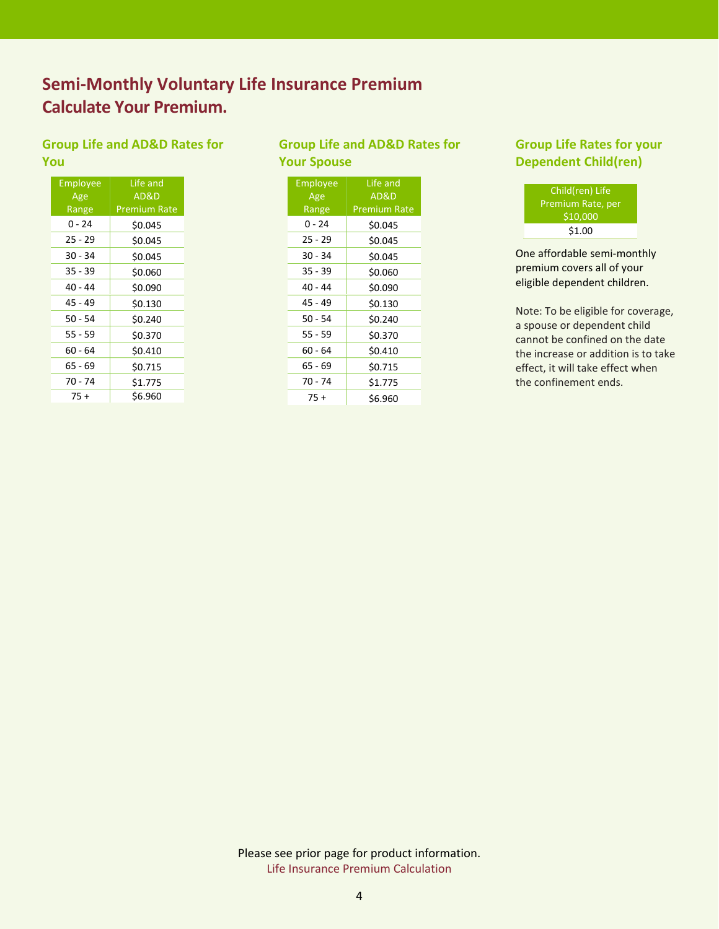## **Semi-Monthly Voluntary Life Insurance Premium Calculate Your Premium.**

### **Group Life and AD&D Rates for You**

| Employee  | Life and            |  |  |
|-----------|---------------------|--|--|
| Age       | AD&D                |  |  |
| Range     | <b>Premium Rate</b> |  |  |
| 0 - 24    | \$0.045             |  |  |
| 25 - 29   | \$0.045             |  |  |
| $30 - 34$ | \$0.045             |  |  |
| $35 - 39$ | \$0.060             |  |  |
| 40 - 44   | \$0.090             |  |  |
| 45 - 49   | \$0.130             |  |  |
| $50 - 54$ | \$0.240             |  |  |
| 55 - 59   | \$0.370             |  |  |
| 60 - 64   | \$0.410             |  |  |
| 65 - 69   | \$0.715             |  |  |
| 70 - 74   | \$1.775             |  |  |
| 75 +      | \$6.960             |  |  |

### **Group Life and AD&D Rates for Your Spouse**

| Employee<br>Age | Life and<br>AD&D    |  |  |
|-----------------|---------------------|--|--|
| Range           | <b>Premium Rate</b> |  |  |
| በ - 24          | \$0.045             |  |  |
| $25 - 29$       | \$0.045             |  |  |
| $30 - 34$       | \$0.045             |  |  |
| $35 - 39$       | \$0.060             |  |  |
| 40 - 44         | \$0.090             |  |  |
| 45 - 49         | \$0.130             |  |  |
| $50 - 54$       | \$0.240             |  |  |
| 55 - 59         | \$0.370             |  |  |
| $60 - 64$       | \$0.410             |  |  |
| 65 - 69         | \$0.715             |  |  |
| 70 - 74         | \$1.775             |  |  |
| $75+$           | \$6.960             |  |  |

### **Group Life Rates for your Dependent Child(ren)**

| Child(ren) Life   |  |
|-------------------|--|
| Premium Rate, per |  |
| \$10,000          |  |
| \$1.00            |  |

One affordable semi-monthly premium covers all of your eligible dependent children.

Note: To be eligible for coverage, a spouse or dependent child cannot be confined on the date the increase or addition is to take effect, it will take effect when the confinement ends.

Please see prior page for product information. Life Insurance Premium Calculation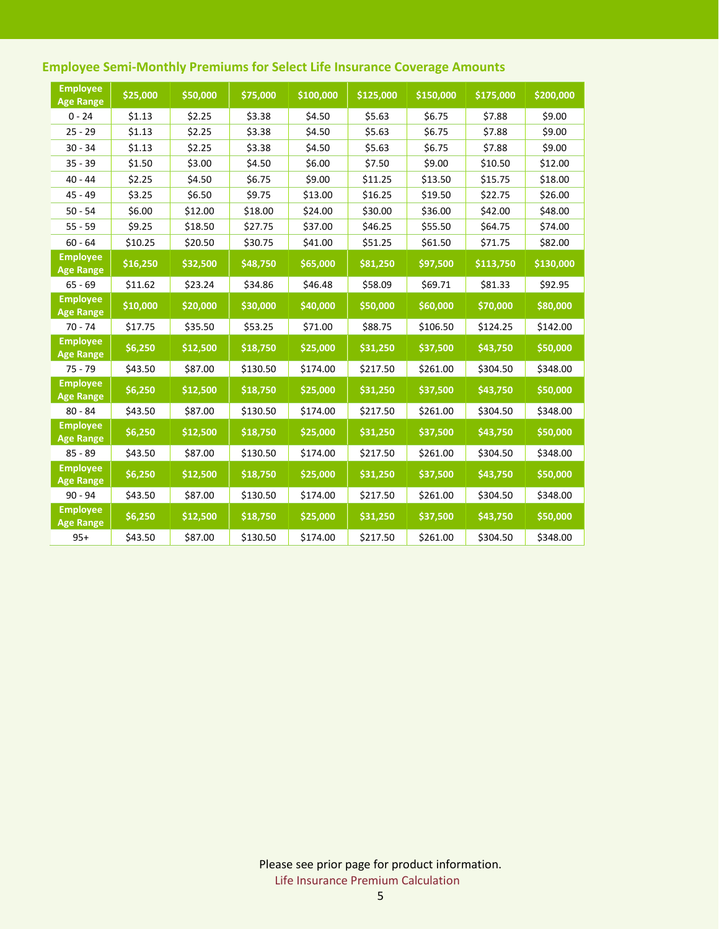| <b>Employee</b><br><b>Age Range</b> | \$25,000 | \$50,000 | \$75,000 | \$100,000 | \$125,000 | \$150,000 | \$175,000 | \$200,000 |
|-------------------------------------|----------|----------|----------|-----------|-----------|-----------|-----------|-----------|
| $0 - 24$                            | \$1.13   | \$2.25   | \$3.38   | \$4.50    | \$5.63    | \$6.75    | \$7.88    | \$9.00    |
| $25 - 29$                           | \$1.13   | \$2.25   | \$3.38   | \$4.50    | \$5.63    | \$6.75    | \$7.88    | \$9.00    |
| $30 - 34$                           | \$1.13   | \$2.25   | \$3.38   | \$4.50    | \$5.63    | \$6.75    | \$7.88    | \$9.00    |
| $35 - 39$                           | \$1.50   | \$3.00   | \$4.50   | \$6.00    | \$7.50    | \$9.00    | \$10.50   | \$12.00   |
| $40 - 44$                           | \$2.25   | \$4.50   | \$6.75   | \$9.00    | \$11.25   | \$13.50   | \$15.75   | \$18.00   |
| $45 - 49$                           | \$3.25   | \$6.50   | \$9.75   | \$13.00   | \$16.25   | \$19.50   | \$22.75   | \$26.00   |
| $50 - 54$                           | \$6.00   | \$12.00  | \$18.00  | \$24.00   | \$30.00   | \$36.00   | \$42.00   | \$48.00   |
| $55 - 59$                           | \$9.25   | \$18.50  | \$27.75  | \$37.00   | \$46.25   | \$55.50   | \$64.75   | \$74.00   |
| $60 - 64$                           | \$10.25  | \$20.50  | \$30.75  | \$41.00   | \$51.25   | \$61.50   | \$71.75   | \$82.00   |
| <b>Employee</b><br><b>Age Range</b> | \$16,250 | \$32,500 | \$48,750 | \$65,000  | \$81,250  | \$97,500  | \$113,750 | \$130,000 |
| $65 - 69$                           | \$11.62  | \$23.24  | \$34.86  | \$46.48   | \$58.09   | \$69.71   | \$81.33   | \$92.95   |
| <b>Employee</b><br><b>Age Range</b> | \$10,000 | \$20,000 | \$30,000 | \$40,000  | \$50,000  | \$60,000  | \$70,000  | \$80,000  |
| $70 - 74$                           | \$17.75  | \$35.50  | \$53.25  | \$71.00   | \$88.75   | \$106.50  | \$124.25  | \$142.00  |
| <b>Employee</b><br><b>Age Range</b> | \$6,250  | \$12,500 | \$18,750 | \$25,000  | \$31,250  | \$37,500  | \$43,750  | \$50,000  |
| $75 - 79$                           | \$43.50  | \$87.00  | \$130.50 | \$174.00  | \$217.50  | \$261.00  | \$304.50  | \$348.00  |
| <b>Employee</b><br><b>Age Range</b> | \$6,250  | \$12,500 | \$18,750 | \$25,000  | \$31,250  | \$37,500  | \$43,750  | \$50,000  |
| $80 - 84$                           | \$43.50  | \$87.00  | \$130.50 | \$174.00  | \$217.50  | \$261.00  | \$304.50  | \$348.00  |
| <b>Employee</b><br><b>Age Range</b> | \$6,250  | \$12,500 | \$18,750 | \$25,000  | \$31,250  | \$37,500  | \$43,750  | \$50,000  |
| $85 - 89$                           | \$43.50  | \$87.00  | \$130.50 | \$174.00  | \$217.50  | \$261.00  | \$304.50  | \$348.00  |
| <b>Employee</b><br><b>Age Range</b> | \$6,250  | \$12,500 | \$18,750 | \$25,000  | \$31,250  | \$37,500  | \$43,750  | \$50,000  |
| $90 - 94$                           | \$43.50  | \$87.00  | \$130.50 | \$174.00  | \$217.50  | \$261.00  | \$304.50  | \$348.00  |
| <b>Employee</b><br><b>Age Range</b> | \$6,250  | \$12,500 | \$18,750 | \$25,000  | \$31,250  | \$37,500  | \$43,750  | \$50,000  |
| $95+$                               | \$43.50  | \$87.00  | \$130.50 | \$174.00  | \$217.50  | \$261.00  | \$304.50  | \$348.00  |

## **Employee Semi-Monthly Premiums for Select Life Insurance Coverage Amounts**